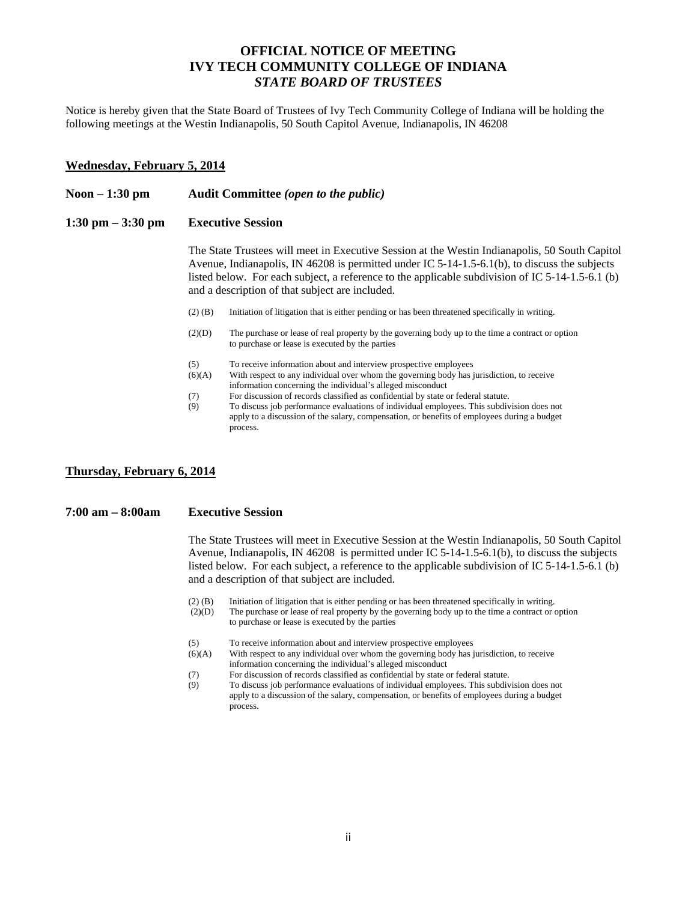# **OFFICIAL NOTICE OF MEETING IVY TECH COMMUNITY COLLEGE OF INDIANA**  *STATE BOARD OF TRUSTEES*

Notice is hereby given that the State Board of Trustees of Ivy Tech Community College of Indiana will be holding the following meetings at the Westin Indianapolis, 50 South Capitol Avenue, Indianapolis, IN 46208

### **Wednesday, February 5, 2014**

#### **Noon – 1:30 pm Audit Committee** *(open to the public)*

#### **1:30 pm – 3:30 pm Executive Session**

The State Trustees will meet in Executive Session at the Westin Indianapolis, 50 South Capitol Avenue, Indianapolis, IN 46208 is permitted under IC 5-14-1.5-6.1(b), to discuss the subjects listed below. For each subject, a reference to the applicable subdivision of IC 5-14-1.5-6.1 (b) and a description of that subject are included.

- (2) (B) Initiation of litigation that is either pending or has been threatened specifically in writing.
- (2)(D) The purchase or lease of real property by the governing body up to the time a contract or option to purchase or lease is executed by the parties
- (5) To receive information about and interview prospective employees
- (6)(A) With respect to any individual over whom the governing body has jurisdiction, to receive information concerning the individual's alleged misconduct
- (7) For discussion of records classified as confidential by state or federal statute.
- (9) To discuss job performance evaluations of individual employees. This subdivision does not apply to a discussion of the salary, compensation, or benefits of employees during a budget process.

### **Thursday, February 6, 2014**

#### **7:00 am – 8:00am Executive Session**

The State Trustees will meet in Executive Session at the Westin Indianapolis, 50 South Capitol Avenue, Indianapolis, IN 46208 is permitted under IC 5-14-1.5-6.1(b), to discuss the subjects listed below. For each subject, a reference to the applicable subdivision of IC 5-14-1.5-6.1 (b) and a description of that subject are included.

- (2) (B) Initiation of litigation that is either pending or has been threatened specifically in writing.
- (2)(D) The purchase or lease of real property by the governing body up to the time a contract or option to purchase or lease is executed by the parties
- (5) To receive information about and interview prospective employees
- (6)(A) With respect to any individual over whom the governing body has jurisdiction, to receive information concerning the individual's alleged misconduct
- (7) For discussion of records classified as confidential by state or federal statute.
- (9) To discuss job performance evaluations of individual employees. This subdivision does not apply to a discussion of the salary, compensation, or benefits of employees during a budget process.